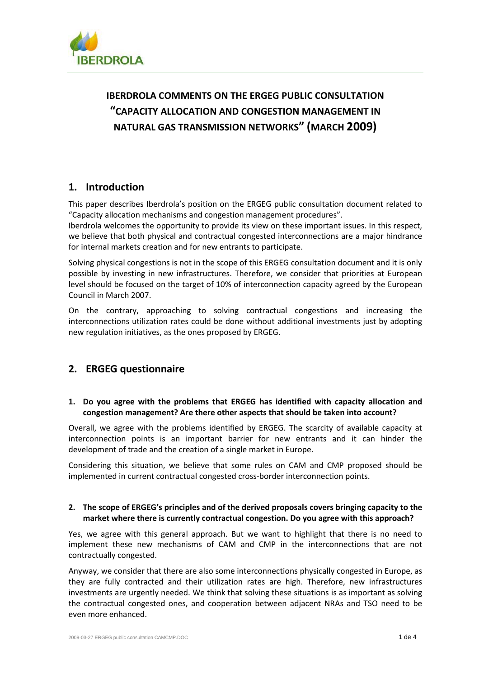

# IBERDROLA COMMENTS ON THE ERGEG PUBLIC CONSULTATION "CAPACITY ALLOCATION AND CONGESTION MANAGEMENT IN NATURAL GAS TRANSMISSION NETWORKS" (MARCH 2009)

# 1. Introduction

This paper describes Iberdrola's position on the ERGEG public consultation document related to "Capacity allocation mechanisms and congestion management procedures".

Iberdrola welcomes the opportunity to provide its view on these important issues. In this respect, we believe that both physical and contractual congested interconnections are a major hindrance for internal markets creation and for new entrants to participate.

Solving physical congestions is not in the scope of this ERGEG consultation document and it is only possible by investing in new infrastructures. Therefore, we consider that priorities at European level should be focused on the target of 10% of interconnection capacity agreed by the European Council in March 2007.

On the contrary, approaching to solving contractual congestions and increasing the interconnections utilization rates could be done without additional investments just by adopting new regulation initiatives, as the ones proposed by ERGEG.

# 2. ERGEG questionnaire

#### 1. Do you agree with the problems that ERGEG has identified with capacity allocation and congestion management? Are there other aspects that should be taken into account?

Overall, we agree with the problems identified by ERGEG. The scarcity of available capacity at interconnection points is an important barrier for new entrants and it can hinder the development of trade and the creation of a single market in Europe.

Considering this situation, we believe that some rules on CAM and CMP proposed should be implemented in current contractual congested cross-border interconnection points.

#### 2. The scope of ERGEG's principles and of the derived proposals covers bringing capacity to the market where there is currently contractual congestion. Do you agree with this approach?

Yes, we agree with this general approach. But we want to highlight that there is no need to implement these new mechanisms of CAM and CMP in the interconnections that are not contractually congested.

Anyway, we consider that there are also some interconnections physically congested in Europe, as they are fully contracted and their utilization rates are high. Therefore, new infrastructures investments are urgently needed. We think that solving these situations is as important as solving the contractual congested ones, and cooperation between adjacent NRAs and TSO need to be even more enhanced.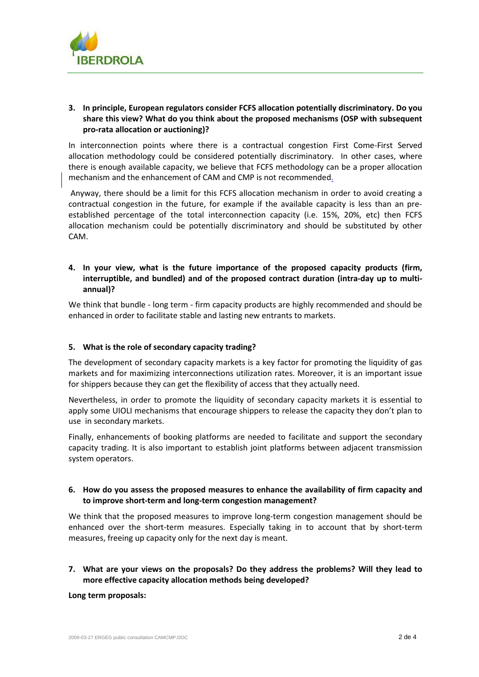

## 3. In principle, European regulators consider FCFS allocation potentially discriminatory. Do you share this view? What do you think about the proposed mechanisms (OSP with subsequent pro-rata allocation or auctioning)?

In interconnection points where there is a contractual congestion First Come-First Served allocation methodology could be considered potentially discriminatory. In other cases, where there is enough available capacity, we believe that FCFS methodology can be a proper allocation mechanism and the enhancement of CAM and CMP is not recommended.

 Anyway, there should be a limit for this FCFS allocation mechanism in order to avoid creating a contractual congestion in the future, for example if the available capacity is less than an preestablished percentage of the total interconnection capacity (i.e. 15%, 20%, etc) then FCFS allocation mechanism could be potentially discriminatory and should be substituted by other CAM.

### 4. In your view, what is the future importance of the proposed capacity products (firm, interruptible, and bundled) and of the proposed contract duration (intra-day up to multiannual)?

We think that bundle - long term - firm capacity products are highly recommended and should be enhanced in order to facilitate stable and lasting new entrants to markets.

#### 5. What is the role of secondary capacity trading?

The development of secondary capacity markets is a key factor for promoting the liquidity of gas markets and for maximizing interconnections utilization rates. Moreover, it is an important issue for shippers because they can get the flexibility of access that they actually need.

Nevertheless, in order to promote the liquidity of secondary capacity markets it is essential to apply some UIOLI mechanisms that encourage shippers to release the capacity they don't plan to use in secondary markets.

Finally, enhancements of booking platforms are needed to facilitate and support the secondary capacity trading. It is also important to establish joint platforms between adjacent transmission system operators.

#### 6. How do you assess the proposed measures to enhance the availability of firm capacity and to improve short-term and long-term congestion management?

We think that the proposed measures to improve long-term congestion management should be enhanced over the short-term measures. Especially taking in to account that by short-term measures, freeing up capacity only for the next day is meant.

7. What are your views on the proposals? Do they address the problems? Will they lead to more effective capacity allocation methods being developed?

Long term proposals: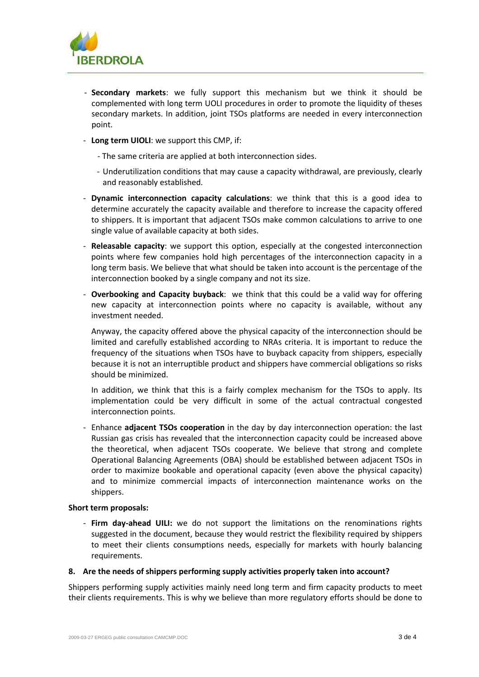

- Secondary markets: we fully support this mechanism but we think it should be complemented with long term UOLI procedures in order to promote the liquidity of theses secondary markets. In addition, joint TSOs platforms are needed in every interconnection point.
- Long term UIOLI: we support this CMP, if:
	- The same criteria are applied at both interconnection sides.
	- Underutilization conditions that may cause a capacity withdrawal, are previously, clearly and reasonably established.
- Dynamic interconnection capacity calculations: we think that this is a good idea to determine accurately the capacity available and therefore to increase the capacity offered to shippers. It is important that adjacent TSOs make common calculations to arrive to one single value of available capacity at both sides.
- Releasable capacity: we support this option, especially at the congested interconnection points where few companies hold high percentages of the interconnection capacity in a long term basis. We believe that what should be taken into account is the percentage of the interconnection booked by a single company and not its size.
- Overbooking and Capacity buyback: we think that this could be a valid way for offering new capacity at interconnection points where no capacity is available, without any investment needed.

Anyway, the capacity offered above the physical capacity of the interconnection should be limited and carefully established according to NRAs criteria. It is important to reduce the frequency of the situations when TSOs have to buyback capacity from shippers, especially because it is not an interruptible product and shippers have commercial obligations so risks should be minimized.

In addition, we think that this is a fairly complex mechanism for the TSOs to apply. Its implementation could be very difficult in some of the actual contractual congested interconnection points.

- Enhance **adjacent TSOs cooperation** in the day by day interconnection operation: the last Russian gas crisis has revealed that the interconnection capacity could be increased above the theoretical, when adjacent TSOs cooperate. We believe that strong and complete Operational Balancing Agreements (OBA) should be established between adjacent TSOs in order to maximize bookable and operational capacity (even above the physical capacity) and to minimize commercial impacts of interconnection maintenance works on the shippers.

#### Short term proposals:

- Firm day-ahead UILI: we do not support the limitations on the renominations rights suggested in the document, because they would restrict the flexibility required by shippers to meet their clients consumptions needs, especially for markets with hourly balancing requirements.

#### 8. Are the needs of shippers performing supply activities properly taken into account?

Shippers performing supply activities mainly need long term and firm capacity products to meet their clients requirements. This is why we believe than more regulatory efforts should be done to